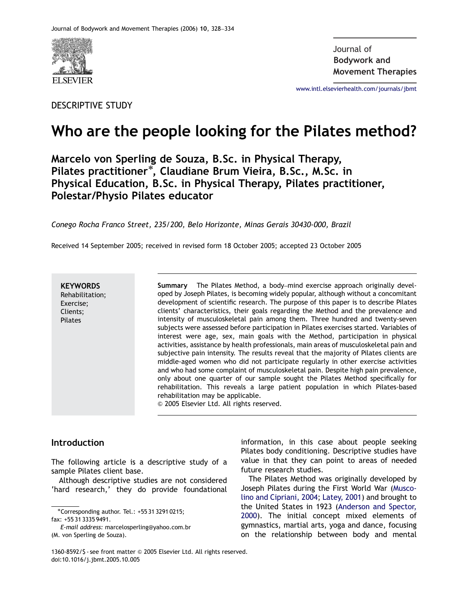

DESCRIPTIVE STUDY

**Bodywork and** Journal of**Movement Therapies**

<www.intl.elsevierhealth.com/journals/jbmt>

# Who are the people looking for the Pilates method?

Marcelo von Sperling de Souza, B.Sc. in Physical Therapy, marecto von operting ac oouza, oroer in rhysical riterapy,<br>Pilates practitioner\*, Claudiane Brum Vieira, B.Sc., M.Sc. in Physical Education, B.Sc. in Physical Therapy, Pilates practitioner, Polestar/Physio Pilates educator

Conego Rocha Franco Street, 235/200, Belo Horizonte, Minas Gerais 30430-000, Brazil

Received 14 September 2005; received in revised form 18 October 2005; accepted 23 October 2005

**KEYWORDS** Rehabilitation; Exercise; Clients; Pilates

Summary The Pilates Method, a body–mind exercise approach originally developed by Joseph Pilates, is becoming widely popular, although without a concomitant development of scientific research. The purpose of this paper is to describe Pilates clients' characteristics, their goals regarding the Method and the prevalence and intensity of musculoskeletal pain among them. Three hundred and twenty-seven subjects were assessed before participation in Pilates exercises started. Variables of interest were age, sex, main goals with the Method, participation in physical activities, assistance by health professionals, main areas of musculoskeletal pain and subjective pain intensity. The results reveal that the majority of Pilates clients are middle-aged women who did not participate regularly in other exercise activities and who had some complaint of musculoskeletal pain. Despite high pain prevalence, only about one quarter of our sample sought the Pilates Method specifically for rehabilitation. This reveals a large patient population in which Pilates-based rehabilitation may be applicable.  $\odot$  2005 Elsevier Ltd. All rights reserved.

## Introduction

The following article is a descriptive study of a sample Pilates client base.

Although descriptive studies are not considered 'hard research,' they do provide foundational information, in this case about people seeking Pilates body conditioning. Descriptive studies have value in that they can point to areas of needed future research studies.

The Pilates Method was originally developed by Joseph Pilates during the First World War [\(Musco](#page-6-0)[lino and Cipriani, 2004;](#page-6-0) [Latey, 2001](#page-6-0)) and brought to the United States in 1923 [\(Anderson and Spector,](#page-5-0) [2000](#page-5-0)). The initial concept mixed elements of gymnastics, martial arts, yoga and dance, focusing on the relationship between body and mental

Corresponding author. Tel.: +55 31 3291 0215; fax: +55 31 3335 9491.

E-mail address: marcelosperling@yahoo.com.br (M. von Sperling de Souza).

<sup>1360-8592/\$ -</sup> see front matter @ 2005 Elsevier Ltd. All rights reserved. doi:10.1016/j.jbmt.2005.10.005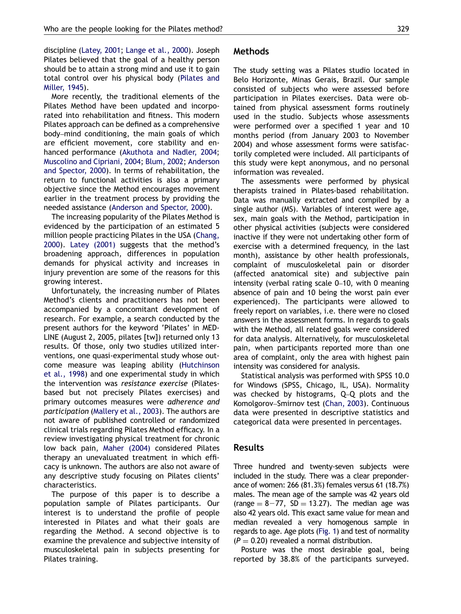discipline [\(Latey, 2001](#page-6-0); [Lange et al., 2000](#page-6-0)). Joseph Pilates believed that the goal of a healthy person should be to attain a strong mind and use it to gain total control over his physical body [\(Pilates and](#page-6-0)

[Miller, 1945](#page-6-0)). More recently, the traditional elements of the Pilates Method have been updated and incorporated into rehabilitation and fitness. This modern Pilates approach can be defined as a comprehensive body–mind conditioning, the main goals of which are efficient movement, core stability and enhanced performance [\(Akuthota and Nadler, 2004](#page-5-0); [Muscolino and Cipriani, 2004;](#page-6-0) [Blum, 2002](#page-5-0); [Anderson](#page-5-0) [and Spector, 2000\)](#page-5-0). In terms of rehabilitation, the return to functional activities is also a primary objective since the Method encourages movement earlier in the treatment process by providing the needed assistance [\(Anderson and Spector, 2000\)](#page-5-0).

The increasing popularity of the Pilates Method is evidenced by the participation of an estimated 5 million people practicing Pilates in the USA [\(Chang,](#page-5-0) [2000](#page-5-0)). [Latey \(2001\)](#page-6-0) suggests that the method's broadening approach, differences in population demands for physical activity and increases in injury prevention are some of the reasons for this growing interest.

Unfortunately, the increasing number of Pilates Method's clients and practitioners has not been accompanied by a concomitant development of research. For example, a search conducted by the present authors for the keyword 'Pilates' in MED-LINE (August 2, 2005, pilates [tw]) returned only 13 results. Of those, only two studies utilized interventions, one quasi-experimental study whose outcome measure was leaping ability ([Hutchinson](#page-6-0) [et al., 1998](#page-6-0)) and one experimental study in which the intervention was resistance exercise (Pilatesbased but not precisely Pilates exercises) and primary outcomes measures were adherence and participation ([Mallery et al., 2003\)](#page-6-0). The authors are not aware of published controlled or randomized clinical trials regarding Pilates Method efficacy. In a review investigating physical treatment for chronic low back pain, [Maher \(2004\)](#page-6-0) considered Pilates therapy an unevaluated treatment in which efficacy is unknown. The authors are also not aware of any descriptive study focusing on Pilates clients' characteristics.

The purpose of this paper is to describe a population sample of Pilates participants. Our interest is to understand the profile of people interested in Pilates and what their goals are regarding the Method. A second objective is to examine the prevalence and subjective intensity of musculoskeletal pain in subjects presenting for Pilates training.

## Methods

The study setting was a Pilates studio located in Belo Horizonte, Minas Gerais, Brazil. Our sample consisted of subjects who were assessed before participation in Pilates exercises. Data were obtained from physical assessment forms routinely used in the studio. Subjects whose assessments were performed over a specified 1 year and 10 months period (from January 2003 to November 2004) and whose assessment forms were satisfactorily completed were included. All participants of this study were kept anonymous, and no personal information was revealed.

The assessments were performed by physical therapists trained in Pilates-based rehabilitation. Data was manually extracted and compiled by a single author (MS). Variables of interest were age, sex, main goals with the Method, participation in other physical activities (subjects were considered inactive if they were not undertaking other form of exercise with a determined frequency, in the last month), assistance by other health professionals, complaint of musculoskeletal pain or disorder (affected anatomical site) and subjective pain intensity (verbal rating scale 0–10, with 0 meaning absence of pain and 10 being the worst pain ever experienced). The participants were allowed to freely report on variables, i.e. there were no closed answers in the assessment forms. In regards to goals with the Method, all related goals were considered for data analysis. Alternatively, for musculoskeletal pain, when participants reported more than one area of complaint, only the area with highest pain intensity was considered for analysis.

Statistical analysis was performed with SPSS 10.0 for Windows (SPSS, Chicago, IL, USA). Normality was checked by histograms, Q–Q plots and the Komolgorov–Smirnov test [\(Chan, 2003\)](#page-5-0). Continuous data were presented in descriptive statistics and categorical data were presented in percentages.

## Results

Three hundred and twenty-seven subjects were included in the study. There was a clear preponderance of women: 266 (81.3%) females versus 61 (18.7%) males. The mean age of the sample was 42 years old (range  $= 8-77$ , SD  $= 13.27$ ). The median age was also 42 years old. This exact same value for mean and median revealed a very homogenous sample in regards to age. Age plots ([Fig. 1\)](#page-2-0) and test of normality  $(P = 0.20)$  revealed a normal distribution.

Posture was the most desirable goal, being reported by 38.8% of the participants surveyed.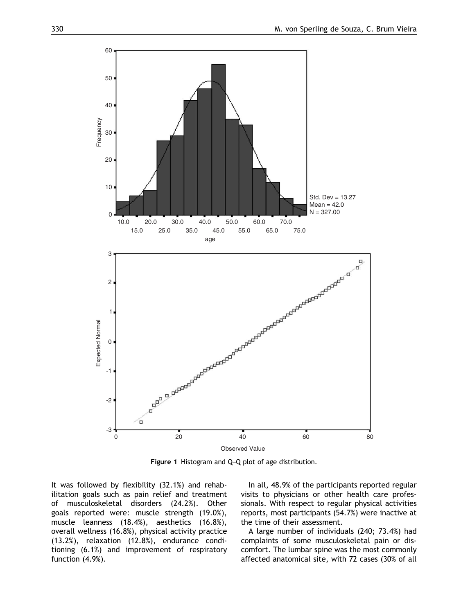<span id="page-2-0"></span>

Figure 1 Histogram and Q–Q plot of age distribution.

It was followed by flexibility (32.1%) and rehabilitation goals such as pain relief and treatment of musculoskeletal disorders (24.2%). Other goals reported were: muscle strength (19.0%), muscle leanness (18.4%), aesthetics (16.8%), overall wellness (16.8%), physical activity practice (13.2%), relaxation (12.8%), endurance conditioning (6.1%) and improvement of respiratory function (4.9%).

In all, 48.9% of the participants reported regular visits to physicians or other health care professionals. With respect to regular physical activities reports, most participants (54.7%) were inactive at the time of their assessment.

A large number of individuals (240; 73.4%) had complaints of some musculoskeletal pain or discomfort. The lumbar spine was the most commonly affected anatomical site, with 72 cases (30% of all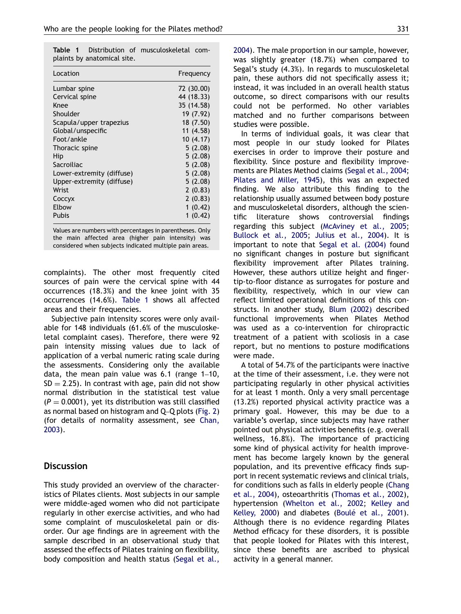Table 1 Distribution of musculoskeletal complaints by anatomical site.

| Location                  | Frequency  |
|---------------------------|------------|
| Lumbar spine              | 72 (30.00) |
| Cervical spine            | 44 (18.33) |
| Knee                      | 35 (14.58) |
| Shoulder                  | 19 (7.92)  |
| Scapula/upper trapezius   | 18 (7.50)  |
| Global/unspecific         | 11 (4.58)  |
| Foot/ankle                | 10(4.17)   |
| Thoracic spine            | 5(2.08)    |
| Hip                       | 5(2.08)    |
| Sacroiliac                | 5(2.08)    |
| Lower-extremity (diffuse) | 5(2.08)    |
| Upper-extremity (diffuse) | 5(2.08)    |
| Wrist                     | 2(0.83)    |
| Соссух                    | 2(0.83)    |
| Elbow                     | 1(0.42)    |
| Pubis                     | 1(0.42)    |

Values are numbers with percentages in parentheses. Only the main affected area (higher pain intensity) was considered when subjects indicated multiple pain areas.

complaints). The other most frequently cited sources of pain were the cervical spine with 44 occurrences (18.3%) and the knee joint with 35 occurrences (14.6%). Table 1 shows all affected areas and their frequencies.

Subjective pain intensity scores were only available for 148 individuals (61.6% of the musculoskeletal complaint cases). Therefore, there were 92 pain intensity missing values due to lack of application of a verbal numeric rating scale during the assessments. Considering only the available data, the mean pain value was 6.1 (range 1–10,  $SD = 2.25$ ). In contrast with age, pain did not show normal distribution in the statistical test value  $(P = 0.0001)$ , yet its distribution was still classified as normal based on histogram and Q–Q plots ([Fig. 2](#page-4-0)) (for details of normality assessment, see [Chan,](#page-5-0) [2003](#page-5-0)).

#### Discussion

This study provided an overview of the characteristics of Pilates clients. Most subjects in our sample were middle-aged women who did not participate regularly in other exercise activities, and who had some complaint of musculoskeletal pain or disorder. Our age findings are in agreement with the sample described in an observational study that assessed the effects of Pilates training on flexibility, body composition and health status [\(Segal et al.,](#page-6-0) [2004\)](#page-6-0). The male proportion in our sample, however, was slightly greater (18.7%) when compared to Segal's study (4.3%). In regards to musculoskeletal pain, these authors did not specifically assess it; instead, it was included in an overall health status outcome, so direct comparisons with our results could not be performed. No other variables matched and no further comparisons between studies were possible.

In terms of individual goals, it was clear that most people in our study looked for Pilates exercises in order to improve their posture and flexibility. Since posture and flexibility improvements are Pilates Method claims [\(Segal et al., 2004](#page-6-0); [Pilates and Miller, 1945](#page-6-0)), this was an expected finding. We also attribute this finding to the relationship usually assumed between body posture and musculoskeletal disorders, although the scientific literature shows controversial findings regarding this subject ([McAviney et al., 2005](#page-6-0); [Bullock et al., 2005;](#page-5-0) [Julius et al., 2004](#page-6-0)). It is important to note that [Segal et al. \(2004\)](#page-6-0) found no significant changes in posture but significant flexibility improvement after Pilates training. However, these authors utilize height and fingertip-to-floor distance as surrogates for posture and flexibility, respectively, which in our view can reflect limited operational definitions of this constructs. In another study, [Blum \(2002\)](#page-5-0) described functional improvements when Pilates Method was used as a co-intervention for chiropractic treatment of a patient with scoliosis in a case report, but no mentions to posture modifications were made.

A total of 54.7% of the participants were inactive at the time of their assessment, i.e. they were not participating regularly in other physical activities for at least 1 month. Only a very small percentage (13.2%) reported physical activity practice was a primary goal. However, this may be due to a variable's overlap, since subjects may have rather pointed out physical activities benefits (e.g. overall wellness, 16.8%). The importance of practicing some kind of physical activity for health improvement has become largely known by the general population, and its preventive efficacy finds support in recent systematic reviews and clinical trials, for conditions such as falls in elderly people ([Chang](#page-5-0) [et al., 2004](#page-5-0)), osteoarthritis ([Thomas et al., 2002\)](#page-6-0), hypertension ([Whelton et al., 2002;](#page-6-0) [Kelley and](#page-6-0) [Kelley, 2000](#page-6-0)) and diabetes (Boulé et al., 2001). Although there is no evidence regarding Pilates Method efficacy for these disorders, it is possible that people looked for Pilates with this interest, since these benefits are ascribed to physical activity in a general manner.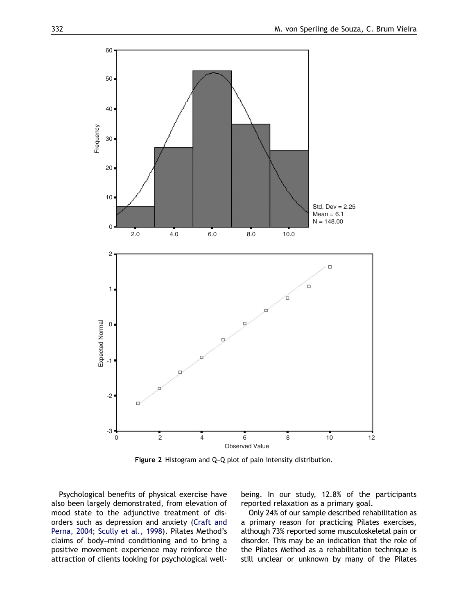<span id="page-4-0"></span>

Figure 2 Histogram and Q–Q plot of pain intensity distribution.

Psychological benefits of physical exercise have also been largely demonstrated, from elevation of mood state to the adjunctive treatment of disorders such as depression and anxiety [\(Craft and](#page-5-0) [Perna, 2004;](#page-5-0) [Scully et al., 1998\)](#page-6-0). Pilates Method's claims of body–mind conditioning and to bring a positive movement experience may reinforce the attraction of clients looking for psychological wellbeing. In our study, 12.8% of the participants reported relaxation as a primary goal.

Only 24% of our sample described rehabilitation as a primary reason for practicing Pilates exercises, although 73% reported some musculoskeletal pain or disorder. This may be an indication that the role of the Pilates Method as a rehabilitation technique is still unclear or unknown by many of the Pilates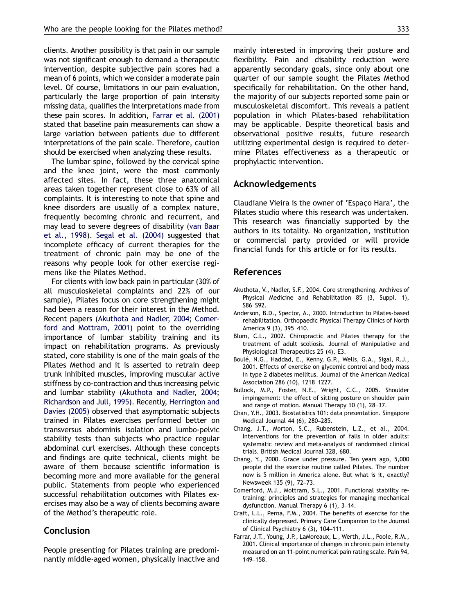<span id="page-5-0"></span>clients. Another possibility is that pain in our sample was not significant enough to demand a therapeutic intervention, despite subjective pain scores had a mean of 6 points, which we consider a moderate pain level. Of course, limitations in our pain evaluation, particularly the large proportion of pain intensity missing data, qualifies the interpretations made from these pain scores. In addition, Farrar et al. (2001) stated that baseline pain measurements can show a large variation between patients due to different interpretations of the pain scale. Therefore, caution should be exercised when analyzing these results.

The lumbar spine, followed by the cervical spine and the knee joint, were the most commonly affected sites. In fact, these three anatomical areas taken together represent close to 63% of all complaints. It is interesting to note that spine and knee disorders are usually of a complex nature, frequently becoming chronic and recurrent, and may lead to severe degrees of disability ([van Baar](#page-6-0) [et al., 1998](#page-6-0)). [Segal et al. \(2004\)](#page-6-0) suggested that incomplete efficacy of current therapies for the treatment of chronic pain may be one of the reasons why people look for other exercise regimens like the Pilates Method.

For clients with low back pain in particular (30% of all musculoskeletal complaints and 22% of our sample), Pilates focus on core strengthening might had been a reason for their interest in the Method. Recent papers (Akuthota and Nadler, 2004; Comerford and Mottram, 2001) point to the overriding importance of lumbar stability training and its impact on rehabilitation programs. As previously stated, core stability is one of the main goals of the Pilates Method and it is asserted to retrain deep trunk inhibited muscles, improving muscular active stiffness by co-contraction and thus increasing pelvic and lumbar stability (Akuthota and Nadler, 2004; [Richardson and Jull, 1995\)](#page-6-0). Recently, [Herrington and](#page-6-0) [Davies \(2005\)](#page-6-0) observed that asymptomatic subjects trained in Pilates exercises performed better on transversus abdominis isolation and lumbo-pelvic stability tests than subjects who practice regular abdominal curl exercises. Although these concepts and findings are quite technical, clients might be aware of them because scientific information is becoming more and more available for the general public. Statements from people who experienced successful rehabilitation outcomes with Pilates exercises may also be a way of clients becoming aware of the Method's therapeutic role.

## Conclusion

People presenting for Pilates training are predominantly middle-aged women, physically inactive and mainly interested in improving their posture and flexibility. Pain and disability reduction were apparently secondary goals, since only about one quarter of our sample sought the Pilates Method specifically for rehabilitation. On the other hand, the majority of our subjects reported some pain or musculoskeletal discomfort. This reveals a patient population in which Pilates-based rehabilitation may be applicable. Despite theoretical basis and observational positive results, future research utilizing experimental design is required to determine Pilates effectiveness as a therapeutic or prophylactic intervention.

#### Acknowledgements

Claudiane Vieira is the owner of 'Espaço Hara', the Pilates studio where this research was undertaken. This research was financially supported by the authors in its totality. No organization, institution or commercial party provided or will provide financial funds for this article or for its results.

## References

- Akuthota, V., Nadler, S.F., 2004. Core strengthening. Archives of Physical Medicine and Rehabilitation 85 (3, Suppl. 1), S86–S92.
- Anderson, B.D., Spector, A., 2000. Introduction to Pilates-based rehabilitation. Orthopaedic Physical Therapy Clinics of North America 9 (3), 395–410.
- Blum, C.L., 2002. Chiropractic and Pilates therapy for the treatment of adult scoliosis. Journal of Manipulative and Physiological Therapeutics 25 (4), E3.
- Boulé, N.G., Haddad, E., Kenny, G.P., Wells, G.A., Sigal, R.J., 2001. Effects of exercise on glycemic control and body mass in type 2 diabetes mellitus. Journal of the American Medical Association 286 (10), 1218–1227.
- Bullock, M.P., Foster, N.E., Wright, C.C., 2005. Shoulder impingement: the effect of sitting posture on shoulder pain and range of motion. Manual Therapy 10 (1), 28–37.
- Chan, Y.H., 2003. Biostatistics 101: data presentation. Singapore Medical Journal 44 (6), 280–285.
- Chang, J.T., Morton, S.C., Rubenstein, L.Z., et al., 2004. Interventions for the prevention of falls in older adults: systematic review and meta-analysis of randomised clinical trials. British Medical Journal 328, 680.
- Chang, Y., 2000. Grace under pressure. Ten years ago, 5,000 people did the exercise routine called Pilates. The number now is 5 million in America alone. But what is it, exactly? Newsweek 135 (9), 72–73.
- Comerford, M.J., Mottram, S.L., 2001. Functional stability retraining: principles and strategies for managing mechanical dysfunction. Manual Therapy 6 (1), 3–14.
- Craft, L.L., Perna, F.M., 2004. The benefits of exercise for the clinically depressed. Primary Care Companion to the Journal of Clinical Psychiatry 6 (3), 104–111.
- Farrar, J.T., Young, J.P., LaMoreaux, L., Werth, J.L., Poole, R.M., 2001. Clinical importance of changes in chronic pain intensity measured on an 11-point numerical pain rating scale. Pain 94, 149–158.